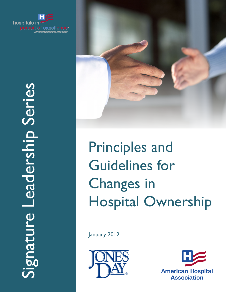



Principles and Guidelines for Changes in Hospital Ownership

January 2012



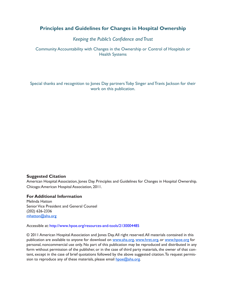# **Principles and Guidelines for Changes in Hospital Ownership**

# *Keeping the Public's Confidence and Trust*

Community Accountability with Changes in the Ownership or Control of Hospitals or Health Systems

Special thanks and recognition to Jones Day partners Toby Singer and Travis Jackson for their work on this publication.

## **Suggested Citation**

American Hospital Association, Jones Day. Principles and Guidelines for Changes in Hospital Ownership. Chicago: American Hospital Association, 2011.

## **For Additional Information**

Melinda Hatton Senior Vice President and General Counsel (202) 626-2336 mhatton@aha.org

#### Accessible at: <http://www.hpoe.org/resources-and-tools/2130004485>

© 2011 American Hospital Association and Jones Day. All right reserved. All materials contained in this publication are available to anyone for download on www.aha.org, www.hret.org, or www.hpoe.org for personal, noncommercial use only. No part of this publication may be reproduced and distributed in any form without permission of the publisher, or in the case of third party materials, the owner of that content, except in the case of brief quotations followed by the above suggested citation. To request permission to reproduce any of these materials, please email hpoe@aha.org.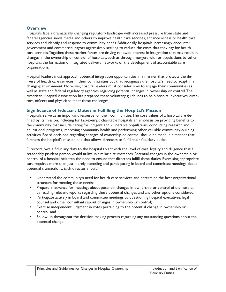## **Overview**

Hospitals face a dramatically changing regulatory landscape with increased pressure from state and federal agencies, news media and others to improve health care services, enhance access to health care services and identify and respond to community needs. Additionally, hospitals increasingly encounter government and commercial payors aggressively seeking to reduce the costs that they pay for health care services. Together, these market forces are driving renewed interest in integration that may result in changes in the ownership or control of hospitals, such as through mergers with or acquisitions by other hospitals, the formation of integrated delivery networks or the development of accountable care organizations.

Hospital leaders must approach potential integration opportunities in a manner that protects the delivery of health care services in their communities but that recognizes the hospital's need to adapt in a changing environment. Moreover, hospital leaders must consider how to engage their communities as well as state and federal regulatory agencies regarding potential changes in ownership or control. The American Hospital Association has prepared these voluntary guidelines to help hospital executives, directors, officers and physicians meet these challenges.

## **Significance of Fiduciary Duties in Fulfilling the Hospital's Mission**

Hospitals serve as an important resource for their communities. The core values of a hospital are defined by its mission, including for tax-exempt, charitable hospitals an emphasis on providing benefits to the community that include caring for indigent and vulnerable populations, conducting research and educational programs, improving community health and performing other valuable community-building activities. Board decisions regarding changes of ownership or control should be made in a manner that furthers the hospital's mission and that allows directors to fulfill their fiduciary duties.

Directors owe a fiduciary duty to the hospital to act with the level of care, loyalty and diligence that a reasonably prudent person would utilize in similar circumstances. Potential changes in the ownership or control of a hospital heighten the need to ensure that directors fulfill these duties. Exercising appropriate care requires more than just merely attending and participating in board and committee meetings about potential transactions. Each director should:

- Understand the community's need for health care services and determine the best organizational structure for meeting those needs;
- Prepare in advance for meetings about potential changes in ownership or control of the hospital by reading relevant reports regarding these potential changes and any other options considered;
- Participate actively in board and committee meetings by questioning hospital executives, legal counsel and other consultants about changes in ownership or control;
- Exercise independent judgment in votes pertaining to the potential change in ownership or control; and
- Follow up throughout the decision-making process regarding any outstanding questions about the potential change.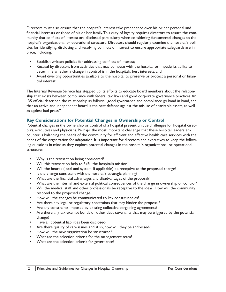Directors must also ensure that the hospital's interest take precedence over his or her personal and financial interests or those of his or her family. This duty of loyalty requires directors to assure the community that conflicts of interest are disclosed particularly when considering fundamental changes to the hospital's organizational or operational structure. Directors should regularly examine the hospital's policies for identifying, disclosing and resolving conflicts of interest to ensure appropriate safeguards are in place, including:

- Establish written policies for addressing conflicts of interest;
- Recusal by directors from activities that may compete with the hospital or impede its ability to determine whether a change in control is in the hospital's best interests; and
- Avoid diverting opportunities available to the hospital to preserve or protect a personal or financial interest.

The Internal Revenue Service has stepped up its efforts to educate board members about the relationship that exists between compliance with federal tax laws and good corporate governance practices. An IRS official described the relationship as follows: "good governance and compliance go hand in hand, and that an active and independent board is the best defense against the misuse of charitable assets, as well as against bad press."

#### **Key Considerations for Potential Changes in Ownership or Control**

Potential changes in the ownership or control of a hospital present unique challenges for hospital directors, executives and physicians. Perhaps the most important challenge that these hospital leaders encounter is balancing the needs of the community for efficient and effective health care services with the needs of the organization for adaptation. It is important for directors and executives to keep the following questions in mind as they explore potential changes in the hospital's organizational or operational structure:

- Why is the transaction being considered?
- Will this transaction help to fulfill the hospital's mission?
- Will the boards (local and system, if applicable) be receptive to the proposed change?
- Is the change consistent with the hospital's strategic planning?
- What are the financial advantages and disadvantages of the proposal?
- What are the internal and external political consequences of the change in ownership or control?
- Will the medical staff and other professionals be receptive to the idea? How will the community respond to the proposed change?
- How will the changes be communicated to key constituencies?
- Are there any legal or regulatory constraints that may hinder the proposal?
- Are any constraints imposed by existing collective bargaining agreements?
- Are there any tax-exempt bonds or other debt covenants that may be triggered by the potential change?
- Have all potential liabilities been disclosed?
- Are there quality of care issues and, if so, how will they be addressed?
- How will the new organization be structured?
- What are the selection criteria for the management team?
- What are the selection criteria for governance?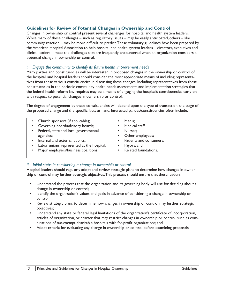## **Guidelines for Review of Potential Changes in Ownership and Control**

Changes in ownership or control present several challenges for hospital and health system leaders. While many of these challenges – such as regulatory issues – may be easily anticipated, others – like community reaction – may be more difficult to predict. These voluntary guidelines have been prepared by the American Hospital Association to help hospital and health system leaders – directors, executives and clinical leaders – meet the challenges that are frequently encountered when an organization considers a potential change in ownership or control.

### *I. Engage the community to identify its future health improvement needs*

Many parties and constituencies will be interested in proposed changes in the ownership or control of the hospital, and hospital leaders should consider the most appropriate means of including representatives from these various constituencies in discussing these changes. Including representatives from these constituencies in the periodic community health needs assessments and implementation strategies that the federal health reform law requires may be a means of engaging the hospital's constituencies early on with respect to potential changes in ownership or control.

The degree of engagement by these constituencies will depend upon the type of transaction, the stage of the proposed change and the specific facts at hand. Interested parties/constituencies often include:

|   | Church sponsors (if applicable);          | Media;                               |
|---|-------------------------------------------|--------------------------------------|
|   | Governing board/advisory boards;          | Medical staff;<br>$\bullet$          |
|   | Federal, state and local governmental     | Nurses;                              |
|   | agencies;                                 | Other employees;                     |
| ٠ | Internal and external publics;            | Patients and consumers;<br>$\bullet$ |
| ٠ | Labor unions represented at the hospital; | Payors; and<br>٠                     |
|   | Major employers/business coalitions;      | Related foundations.<br>$\bullet$    |
|   |                                           |                                      |

#### *II. Initial steps in considering a change in ownership or control*

Hospital leaders should regularly adopt and review strategic plans to determine how changes in ownership or control may further strategic objectives. This process should ensure that these leaders:

- Understand the process that the organization and its governing body will use for deciding about a change in ownership or control;
- Identify the organization's values and goals in advance of considering a change in ownership or control;
- Review strategic plans to determine how changes in ownership or control may further strategic objectives;
- Understand any state or federal legal limitations of the organization's certificate of incorporation, articles of organization, or charter that may restrict changes in ownership or control, such as combinations of tax-exempt charitable hospitals with for-profit organizations; and
- Adopt criteria for evaluating any change in ownership or control before examining proposals.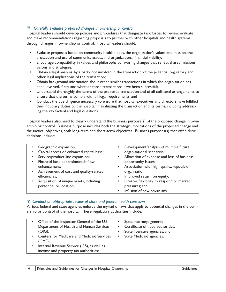## *III. Carefully evaluate proposed changes in ownership or control*

Hospital leaders should develop policies and procedures that designate task forces to review, evaluate and make recommendations regarding proposals to partner with other hospitals and health systems through changes in ownership or control. Hospital leaders should:

- Evaluate proposals based on community health needs, the organization's values and mission, the protection and use of community assets, and organizational financial viability;
- Encourage compatibility in values and philosophy by favoring changes that reflect shared missions, visions and strategies;
- Obtain a legal analysis, by a party not involved in the transaction, of the potential regulatory and other legal implications of the transaction;
- Obtain background information about other similar transactions in which the organization has been involved, if any, and whether those transactions have been successful;
- Understand thoroughly the terms of the proposed transaction and of all collateral arrangements to ensure that the terms comply with all legal requirements; and
- Conduct the due diligence necessary to ensure that hospital executives and directors have fulfilled their fiduciary duties to the hospital in evaluating the transaction and its terms, including addressing the key factual and legal questions.

Hospital leaders also need to clearly understand the business purpose(s) of the proposed change in ownership or control. Business purpose includes both the strategic implications of the proposed change and the tactical objectives, both long-term and short-term objectives. Business purposes(s) that often drive decisions include:

|           | Geographic expansion;                    | Development/analysis of multiple future<br>$\bullet$    |  |
|-----------|------------------------------------------|---------------------------------------------------------|--|
|           | Capital access or enhanced capital base; | organizational scenarios;                               |  |
|           | Service/product line expansion;          | Allocation of expense and loss of business<br>$\bullet$ |  |
|           | Financial base expansion/cash flow       | opportunity issues;                                     |  |
|           | enhancement;                             | Association with high-quality, reputable<br>$\bullet$   |  |
| $\bullet$ | Achievement of cost and quality-related  | organization;                                           |  |
|           | efficiencies;                            | Improved return on equity;<br>$\bullet$                 |  |
|           | Acquisition of unique assets, including  | Greater flexibility to respond to market<br>$\bullet$   |  |
|           | personnel or location;                   | pressures; and                                          |  |
|           |                                          | Infusion of new physicians.<br>$\bullet$                |  |

#### *IV. Conduct an appropriate review of state and federal health care laws*

Various federal and state agencies enforce the myriad of laws that apply to potential changes in the ownership or control of the hospital. These regulatory authorities include:

| Office of the Inspector General of the U.S.<br>$\bullet$<br>Department of Health and Human Services<br>$(OIG)$ ;<br><b>Centers for Medicare and Medicaid Services</b><br>$\bullet$<br>(CMS);<br>Internal Revenue Service (IRS), as well as<br>$\bullet$<br>income and property tax authorities; | State attorneys general;<br>Certificate of need authorities;<br>$\bullet$<br>State licensure agencies; and<br>$\bullet$<br>State Medicaid agencies.<br>$\bullet$ |
|-------------------------------------------------------------------------------------------------------------------------------------------------------------------------------------------------------------------------------------------------------------------------------------------------|------------------------------------------------------------------------------------------------------------------------------------------------------------------|
|-------------------------------------------------------------------------------------------------------------------------------------------------------------------------------------------------------------------------------------------------------------------------------------------------|------------------------------------------------------------------------------------------------------------------------------------------------------------------|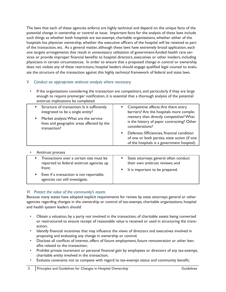The laws that each of these agencies enforce are highly technical and depend on the unique facts of the potential change in ownership or control at issue. Important facts for the analysis of these laws include such things as whether both hospitals are tax-exempt, charitable organizations, whether either of the hospitals has physician ownership, whether the executive officers of the hospital will be retained as part of the transaction, etc. As a general matter, although these laws have extremely broad application, each one targets arrangements that result in unnecessary utilization of government-funded health care services or provide improper financial benefits to hospital directors, executives or other insiders, including physicians in certain circumstances. In order to ensure that a proposed change in control or ownership does not violate any of these restrictions, hospital leaders should engage qualified legal counsel to evaluate the structure of the transaction against this highly technical framework of federal and state laws.

## *V. Conduct an appropriate antitrust analysis where necessary*

If the organizations considering the transaction are competitors, and particularly if they are large enough to require premerger notification, it is essential that a thorough analysis of the potential antitrust implications be completed.

| Structure of transaction: Is it sufficiently | " Competitive effects: Are there entry                                                                                                     |
|----------------------------------------------|--------------------------------------------------------------------------------------------------------------------------------------------|
| integrated to be a single entity?            | barriers? Are the hospitals more comple-                                                                                                   |
| Market analysis: What are the service        | mentary than directly competitive? What                                                                                                    |
| lines and geographic areas affected by the   | is the history of payor contracting? Other                                                                                                 |
| transaction?                                 | considerations?                                                                                                                            |
|                                              | Defenses: Efficiencies, financial condition<br>of one or both parties, state action (if one<br>of the hospitals is a government hospital). |

#### • Antitrust process

| Transactions over a certain size must be<br>reported to federal antitrust agencies up<br>front;<br>Even if a transaction is not reportable,<br>agencies can still investigate; | State attorneys general often conduct<br>their own antitrust reviews; and<br>• It is important to be prepared. |
|--------------------------------------------------------------------------------------------------------------------------------------------------------------------------------|----------------------------------------------------------------------------------------------------------------|
|                                                                                                                                                                                |                                                                                                                |

#### *VI. Protect the value of the community's assets*

Because many states have adopted explicit requirements for review by state attorneys general or other agencies regarding changes in the ownership or control of tax-exempt, charitable organizations, hospital and health system leaders should:

- Obtain a valuation, by a party not involved in the transaction, of charitable assets being converted or restructured to ensure receipt of reasonable value is received or used in structuring the transaction;
- Identify financial incentives that may influence the views of directors and executives involved in proposing and evaluating any change in ownership or control;
- Disclose all conflicts of interest, offers of future employment, future remuneration or other benefits related to the transaction;
- Prohibit private inurement or personal financial gain by employees or directors of any tax-exempt, charitable entity involved in the transaction;
- Evaluate covenants not to compete with regard to tax-exempt status and community benefit;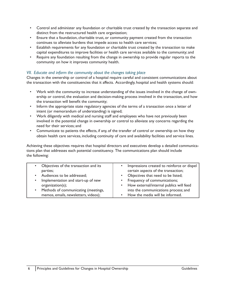- Control and administer any foundation or charitable trust created by the transaction separate and distinct from the restructured health care organization;
- Ensure that a foundation, charitable trust, or community payment created from the transaction continues to alleviate burdens that impede access to health care services;
- Establish requirements for any foundation or charitable trust created by the transaction to make capital expenditures to improve facilities or health care services available to the community; and
- Require any foundation resulting from the change in ownership to provide regular reports to the community on how it improves community health.

## *VII. Educate and inform the community about the changes taking place*

Changes in the ownership or control of a hospital require careful and consistent communications about the transaction with the constituencies that it affects. Accordingly, hospital and health systems should:

- Work with the community to increase understanding of the issues involved in the change of ownership or control, the evaluation and decision-making process involved in the transaction, and how the transaction will benefit the community;
- Inform the appropriate state regulatory agencies of the terms of a transaction once a letter of intent (or memorandum of understanding) is signed;
- Work diligently with medical and nursing staff and employees who have not previously been involved in the potential change in ownership or control to alleviate any concerns regarding the need for their services; and
- Communicate to patients the effects, if any, of the transfer of control or ownership on how they obtain health care services, including continuity of care and availability facilities and service lines.

Achieving these objectives requires that hospital directors and executives develop a detailed communications plan that addresses each potential constituency. The communications plan should include the following:

| • Objectives of the transaction and its          | Impressions created to reinforce or dispel<br>$\bullet$ |
|--------------------------------------------------|---------------------------------------------------------|
|                                                  |                                                         |
| parties;                                         | certain aspects of the transaction;                     |
| • Audiences to be addressed;                     | • Objectives that need to be listed;                    |
|                                                  |                                                         |
| Implementation and start-up of new<br>$\bullet$  | • Frequency of communications;                          |
| organization(s);                                 | • How external/internal publics will feed               |
|                                                  |                                                         |
| Methods of communicating (meetings,<br>$\bullet$ | into the communications process; and                    |
| memos, emails, newsletters, videos);             | • How the media will be informed.                       |
|                                                  |                                                         |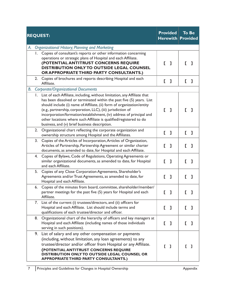|    |    | <b>REQUEST:</b>                                                                                                                                                                                                                                                                                                                                                                                                                                                                             |    | <b>Provided</b><br><b>Herewith Provided</b> |    | <b>To Be</b> |
|----|----|---------------------------------------------------------------------------------------------------------------------------------------------------------------------------------------------------------------------------------------------------------------------------------------------------------------------------------------------------------------------------------------------------------------------------------------------------------------------------------------------|----|---------------------------------------------|----|--------------|
| А. |    | Organizational History; Planning and Marketing                                                                                                                                                                                                                                                                                                                                                                                                                                              |    |                                             |    |              |
|    | Ι. | Copies of consultant's reports or other information concerning<br>operations or strategic plans of Hospital and each Affiliate.<br>(POTENTIAL ANTITRUST CONCERNS REQUIRE<br>DISTRIBUTION ONLY TO OUTSIDE LEGAL COUNSEL<br>OR APPROPRIATE THIRD PARTY CONSULTANTS.)                                                                                                                                                                                                                          | L. | ı                                           | r. | 1            |
|    | 2. | Copies of brochures and reports describing Hospital and each<br>Affiliate.                                                                                                                                                                                                                                                                                                                                                                                                                  | L  | ı                                           | L  | ı            |
| В. |    | <b>Corporate/Organizational Documents</b>                                                                                                                                                                                                                                                                                                                                                                                                                                                   |    |                                             |    |              |
|    | Ι. | List of each Affiliate, including, without limitation, any Affiliate that<br>has been dissolved or terminated within the past five (5) years. List<br>should include (i) name of Affiliate, (ii) form of organization/entity<br>(e.g., partnership, corporation, LLC), (iii) jurisdiction of<br>incorporation/formation/establishment, (iv) address of principal and<br>other locations where such Affiliate is qualified/registered to do<br>business, and (v) brief business description. | E. | $\mathbf{I}$                                | Г. | 1            |
|    | 2. | Organizational chart reflecting the corporate organization and<br>ownership structure among Hospital and the Affiliates.                                                                                                                                                                                                                                                                                                                                                                    | E. | $\mathbf{I}$                                | E. | ı            |
|    | 3. | Copies of the Articles of Incorporation, Articles of Organization,<br>Articles of Partnership, Partnership Agreement or similar charter<br>documents, as amended to date, for Hospital and each Affiliate.                                                                                                                                                                                                                                                                                  | E. | $\mathbf 1$                                 | Г  | ı            |
|    | 4. | Copies of Bylaws, Code of Regulations, Operating Agreements or<br>similar organizational documents, as amended to date, for Hospital<br>and each Affiliate.                                                                                                                                                                                                                                                                                                                                 | D  | ı                                           | г  | ı            |
|    | 5. | Copies of any Close Corporation Agreements, Shareholder's<br>Agreements and/or Trust Agreements, as amended to date, for<br>Hospital and each Affiliate.                                                                                                                                                                                                                                                                                                                                    | E. | ı                                           | L  | ı            |
|    | 6. | Copies of the minutes from board, committee, shareholder/member/<br>partner meetings for the past five (5) years for Hospital and each<br>Affiliate.                                                                                                                                                                                                                                                                                                                                        |    | [ ]                                         |    | ı            |
|    | 7. | List of the current (i) trustees/directors, and (ii) officers for<br>Hospital and each Affiliate. List should include terms and<br>qualifications of each trustee/director and officer.                                                                                                                                                                                                                                                                                                     | E. | -1                                          | L  | ı            |
|    | 8. | Organizational chart of the hierarchy of officers and key managers at<br>Hospital and each Affiliate (including names of those individuals<br>serving in such positions).                                                                                                                                                                                                                                                                                                                   | E. | $\mathbf{I}$                                | L  | ı            |
|    | 9. | List of salary and any other compensation or payments<br>(including, without limitation, any loan agreements) to any<br>trustee/director and/or officer from Hospital or any Affiliate.<br>(POTENTIAL ANTITRUST CONCERNS REQUIRE<br>DISTRIBUTION ONLY TO OUTSIDE LEGAL COUNSEL OR<br><b>APPROPRIATE THIRD PARTY CONSULTANTS.)</b>                                                                                                                                                           |    | $\begin{bmatrix} 1 \end{bmatrix}$           | Г. | ı            |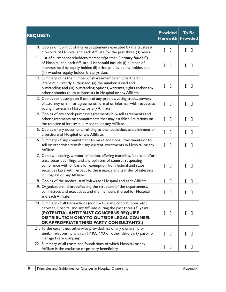| <b>REQUEST:</b>                                                                                                                                                                                                                                                                                                                | <b>Provided</b><br><b>Herewith</b> | <b>To Be</b><br><b>Provided</b> |
|--------------------------------------------------------------------------------------------------------------------------------------------------------------------------------------------------------------------------------------------------------------------------------------------------------------------------------|------------------------------------|---------------------------------|
| 10. Copies of Conflict of Interest statements executed by the trustees/<br>directors of Hospital and each Affiliate for the past three (3) years.                                                                                                                                                                              | D<br>ı                             | L<br>ı                          |
| 11. List of current shareholders/members/partner ("equity holder")<br>of Hospital and each Affiliate. List should include (i) number of<br>interests held by equity holder, (ii) price paid by equity holder, and<br>(iii) whether equity holder is a physician.                                                               | ı<br>L                             | E.<br>ı                         |
| 12. Summary of (i) the number of shares/membership/partnership<br>interests currently authorized, (ii) the number issued and<br>outstanding, and (iii) outstanding options, warrants, rights and/or any<br>other commits to issue interests in Hospital or any Affiliate.                                                      | D<br>ı                             | г<br>ı                          |
| 13. Copies (or description if oral) of any proxies, voting trusts, powers<br>of attorney or similar agreements, formal or informal, with respect to<br>voting interests in Hospital or any Affiliate.                                                                                                                          | D<br>ı                             | L<br>ı                          |
| 14. Copies of any stock purchase agreements, buy-sell agreements and<br>other agreements or commitments that may establish limitations on<br>the transfer of interests in Hospital or any Affiliate.                                                                                                                           | D<br>1                             | L<br>ı                          |
| 15. Copies of any documents relating to the acquisition, establishment or<br>divestiture of Hospital or any Affiliate.                                                                                                                                                                                                         | E.<br>ı                            | L<br>ı                          |
| 16. Summary of any commitment to make additional investments or to<br>sell or otherwise transfer any current investments in Hospital or any<br>Affiliate.                                                                                                                                                                      | E.<br>ı                            | Г.<br>$\mathbf{I}$              |
| 17. Copies, including, without limitation, offering materials, federal and/or<br>state securities filings, and any opinions of counsel, respecting<br>compliance with or basis for exemption from federal and state<br>securities laws with respect to the issuance and transfer of interests<br>in Hospital or any Affiliate. | ı<br>L                             | Г<br>ı                          |
| 18. Copies of the medical staff bylaws for Hospital and each Affiliate.                                                                                                                                                                                                                                                        | E.<br>I                            | $\mathbf{L}$<br>1               |
| 19. Organizational chart reflecting the structure of the departments,<br>committees and executives and the members thereof for Hospital<br>and each Affiliate.                                                                                                                                                                 | ı<br>E.                            | ı                               |
| 20. Summary of all transactions (contracts, loans, contributions, etc.)<br>between Hospital and any Affiliate during the past three (3) years.<br>(POTENTIAL ANTITRUST CONCERNS REQUIRE<br>DISTRIBUTION ONLY TO OUTSIDE LEGAL COUNSEL<br>OR APPROPRIATE THIRD PARTY CONSULTANTS.)                                              | [ ]                                | F.<br>-1                        |
| 21. To the extent not otherwise provided, list of any ownership or<br>similar relationship with an HMO, PPO or other third party payor or<br>managed care company.                                                                                                                                                             | E.<br>ı                            | F.<br>ı                         |
| 22. Summary of all trusts and foundations of which Hospital or any<br>Affiliate is the exclusive or primary beneficiary.                                                                                                                                                                                                       | E.<br>L                            | ı<br>L                          |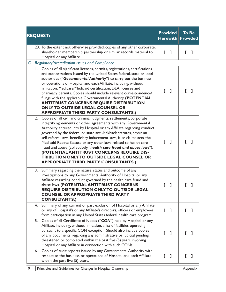| <b>REQUEST:</b>                                                                                                                                                                                                                                                                                                                                                                                                                                                                                                                                                                                                                                             | <b>Provided</b>   | <b>To Be</b><br><b>Herewith Provided</b> |
|-------------------------------------------------------------------------------------------------------------------------------------------------------------------------------------------------------------------------------------------------------------------------------------------------------------------------------------------------------------------------------------------------------------------------------------------------------------------------------------------------------------------------------------------------------------------------------------------------------------------------------------------------------------|-------------------|------------------------------------------|
| 23. To the extent not otherwise provided, copies of any other corporate,<br>shareholder, membership, partnership or similar records material to<br>Hospital or any Affiliate.                                                                                                                                                                                                                                                                                                                                                                                                                                                                               | Г<br>ı            | J.                                       |
| C. Regulatory/Accreditation Issues and Compliance                                                                                                                                                                                                                                                                                                                                                                                                                                                                                                                                                                                                           |                   |                                          |
| 1. Copies of all significant licenses, permits, registrations, certifications<br>and authorizations issued by the United States federal, state or local<br>authorities ("Governmental Authority") to carry out the business<br>or operations of Hospital and each Affiliate, including, without<br>limitation, Medicare/Medicaid certification, DEA licenses and<br>pharmacy permits. Copies should include relevant correspondence/<br>filings with the applicable Governmental Authority. (POTENTIAL<br><b>ANTITRUST CONCERNS REQUIRE DISTRIBUTION</b><br><b>ONLY TO OUTSIDE LEGAL COUNSEL OR</b><br><b>APPROPRIATE THIRD PARTY CONSULTANTS.)</b>         | Г<br>ı            |                                          |
| 2.<br>Copies of all civil and criminal judgments, settlements, corporate<br>integrity agreements or other agreements with any Governmental<br>Authority entered into by Hospital or any Affiliate regarding conduct<br>governed by the federal or state anti-kickback statutes, physician<br>self-referral laws, beneficiary inducement laws, false claims acts, the<br>Medicaid Rebate Statute or any other laws related to health care<br>fraud and abuse (collectively, "health care fraud and abuse laws").<br>(POTENTIAL ANTITRUST CONCERNS REQUIRE DIS-<br>TRIBUTION ONLY TO OUTSIDE LEGAL COUNSEL OR<br><b>APPROPRIATE THIRD PARTY CONSULTANTS.)</b> | Г<br>$\mathbf{I}$ | г.<br>ı                                  |
| 3.<br>Summary regarding the nature, status and outcome of any<br>investigations by any Governmental Authority of Hospital or any<br>Affiliate regarding conduct governed by the health care fraud and<br>abuse laws. (POTENTIAL ANTITRUST CONCERNS<br>REQUIRE DISTRIBUTION ONLY TO OUTSIDE LEGAL<br><b>COUNSEL OR APPROPRIATE THIRD PARTY</b><br><b>CONSULTANTS.)</b>                                                                                                                                                                                                                                                                                       |                   |                                          |
| Summary of any current or past exclusion of Hospital or any Affiliate<br>4.<br>or any of Hospital's or any Affiliate's directors, officers or employees,<br>from participation in any United States federal health care program.                                                                                                                                                                                                                                                                                                                                                                                                                            | E.<br>- 1         | L<br>ı                                   |
| Copies of all Certificate of Needs ("CON") held by Hospital or any<br>5.<br>Affiliate, including, without limitation, a list of facilities operating<br>pursuant to a specific CON exception. Should also include copies<br>of any documents regarding any administrative or judicial pending,<br>threatened or completed within the past five (5) years involving<br>Hospital or any Affiliate in connection with such CONs.                                                                                                                                                                                                                               | -1                | 1                                        |
| Copies of audit reports issued by any Governmental Authority with<br>6.<br>respect to the business or operations of Hospital and each Affiliate<br>within the past five (5) years.                                                                                                                                                                                                                                                                                                                                                                                                                                                                          | L<br>ı            | ı<br>Г                                   |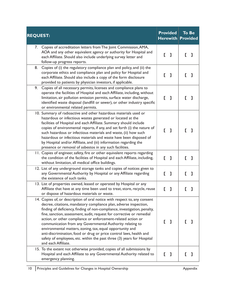| <b>Provided</b><br><b>REQUEST:</b><br>$H$ erewith $\mid$                                                                                                                                                                                                                                                                                                                                                                                                                                                                                                                                                                                                               |                    | <b>To Be</b><br><b>Provided</b> |  |
|------------------------------------------------------------------------------------------------------------------------------------------------------------------------------------------------------------------------------------------------------------------------------------------------------------------------------------------------------------------------------------------------------------------------------------------------------------------------------------------------------------------------------------------------------------------------------------------------------------------------------------------------------------------------|--------------------|---------------------------------|--|
| Copies of accreditation letters from The Joint Commission, AMA,<br>7.<br>AOA and any other equivalent agency or authority for Hospital and<br>each Affiliate. Should also include underlying survey letter and<br>follow-up progress reports.                                                                                                                                                                                                                                                                                                                                                                                                                          | D<br>ı             | ı<br>L                          |  |
| Copies of (i) the regulatory compliance plan and policy, and (ii) the<br>8.<br>corporate ethics and compliance plan and policy for Hospital and<br>each Affiliate. Should also include a copy of the form disclosure<br>provided to patients by physician investors, if applicable.                                                                                                                                                                                                                                                                                                                                                                                    | ı                  | E.<br>I                         |  |
| Copies of all necessary permits, licenses and compliance plans to<br>9.<br>operate the facilities of Hospital and each Affiliate, including, without<br>limitation, air pollution emission permits, surface water discharge,<br>identified waste disposal (landfill or sewer), or other industry specific<br>or environmental related permits.                                                                                                                                                                                                                                                                                                                         | ı<br>Г             | 1<br>Г.                         |  |
| 10. Summary of radioactive and other hazardous materials used or<br>hazardous or infectious wastes generated or located at the<br>facilities of Hospital and each Affiliate. Summary should include<br>copies of environmental reports, if any, and set forth (i) the nature of<br>such hazardous or infectious materials and waste, (ii) how such<br>hazardous or infectious materials and waste have been disposed of<br>by Hospital and/or Affiliate, and (iii) information regarding the<br>presence or removal of asbestos in any such facilities.                                                                                                                | $\mathbf{L}$ 1     | ı                               |  |
| 11. Copies of engineer, safety, fire or other equivalent reports regarding<br>the condition of the facilities of Hospital and each Affiliate, including,<br>without limitation, all medical office buildings.                                                                                                                                                                                                                                                                                                                                                                                                                                                          | E.<br>$\mathbf{I}$ | J.<br>Г.                        |  |
| 12. List of any underground storage tanks and copies of notices given to<br>any Governmental Authority by Hospital or any Affiliate regarding<br>the existence of such tanks.                                                                                                                                                                                                                                                                                                                                                                                                                                                                                          | L<br>ı             | L<br>ı                          |  |
| 13. List of properties owned, leased or operated by Hospital or any<br>Affiliate that have at any time been used to treat, store, recycle, reuse<br>or dispose of hazardous materials or waste.                                                                                                                                                                                                                                                                                                                                                                                                                                                                        | D<br>I             | I                               |  |
| 14. Copies of, or description of oral notice with respect to, any consent<br>decree, citations, mandatory compliance plan, adverse inspection,<br>finding of deficiency, finding of non-compliance, investigation, penalty,<br>fine, sanction, assessment, audit, request for corrective or remedial<br>action, or other compliance or enforcement-related action or<br>communication from any Governmental Authority relating to<br>environmental matters, zoning, tax, equal opportunity and<br>anti-discrimination, food or drug or price control laws, health and<br>safety of employees, etc. within the past three (3) years for Hospital<br>and each Affiliate. | 1                  |                                 |  |
| 15. To the extent not otherwise provided, copies of all submissions by<br>Hospital and each Affiliate to any Governmental Authority related to<br>emergency planning.                                                                                                                                                                                                                                                                                                                                                                                                                                                                                                  | ı                  | ı                               |  |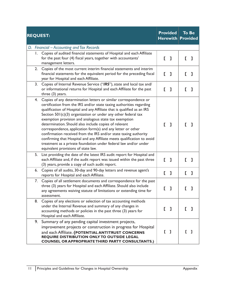|    | <b>REQUEST:</b>                                                                                                                                                                                                                                                                                                                                                                                                                                                                                                                                                                                                                                                                                                                   |    | <b>Provided</b><br><b>Herewith Provided</b> |    | <b>To Be</b> |
|----|-----------------------------------------------------------------------------------------------------------------------------------------------------------------------------------------------------------------------------------------------------------------------------------------------------------------------------------------------------------------------------------------------------------------------------------------------------------------------------------------------------------------------------------------------------------------------------------------------------------------------------------------------------------------------------------------------------------------------------------|----|---------------------------------------------|----|--------------|
|    | D. Financial – Accounting and Tax Records                                                                                                                                                                                                                                                                                                                                                                                                                                                                                                                                                                                                                                                                                         |    |                                             |    |              |
| Ι. | Copies of audited financial statements of Hospital and each Affiliate<br>for the past four (4) fiscal years, together with accountants'<br>management letters.                                                                                                                                                                                                                                                                                                                                                                                                                                                                                                                                                                    | L  | -1                                          | Г. | 1            |
| 2. | Copies of the most current interim financial statements and interim<br>financial statements for the equivalent period for the preceding fiscal<br>year for Hospital and each Affiliate.                                                                                                                                                                                                                                                                                                                                                                                                                                                                                                                                           |    | [ ]                                         | E. | ı            |
| 3. | Copies of Internal Revenue Service ("IRS"), state and local tax and/<br>or informational returns for Hospital and each Affiliate for the past<br>three (3) years.                                                                                                                                                                                                                                                                                                                                                                                                                                                                                                                                                                 | Г  | ı                                           | E  | J            |
| 4. | Copies of any determination letters or similar correspondence or<br>certification from the IRS and/or state taxing authorities regarding<br>qualification of Hospital and any Affiliate that is qualified as an IRS<br>Section $501(c)(3)$ organization or under any other federal tax<br>exemption provision and analogous state tax exemption<br>determination. Should also include copies of relevant<br>correspondence, application form(s) and any letter or other<br>confirmation received from the IRS and/or state taxing authority<br>confirming that Hospital and any Affiliate meets qualification to avoid<br>treatment as a private foundation under federal law and/or under<br>equivalent provisions of state law. | Г. | -1                                          |    |              |
| 5. | List providing the date of the latest IRS audit report for Hospital and<br>each Affiliate and, if the audit report was issued within the past three<br>(3) years, provide a copy of such audit report.                                                                                                                                                                                                                                                                                                                                                                                                                                                                                                                            |    | [ ]                                         | L  | I            |
| 6. | Copies of all audits, 30-day and 90-day letters and revenue agent's<br>reports for Hospital and each Affiliate.                                                                                                                                                                                                                                                                                                                                                                                                                                                                                                                                                                                                                   | E. | ı                                           | E. | ı            |
| 7. | Copies of all settlement documents and correspondence for the past<br>three (3) years for Hospital and each Affiliate. Should also include<br>any agreements waiving statute of limitations or extending time for<br>assessment.                                                                                                                                                                                                                                                                                                                                                                                                                                                                                                  |    | ı                                           |    | 1            |
| 8. | Copies of any elections or selection of tax accounting methods<br>under the Internal Revenue and summary of any changes in<br>accounting methods or policies in the past three (3) years for<br>Hospital and each Affiliate.                                                                                                                                                                                                                                                                                                                                                                                                                                                                                                      |    | [ ]                                         |    | - 1          |
| 9. | Summary of any pending capital investment projects,<br>improvement projects or construction in progress for Hospital<br>and each Affiliate. (POTENTIAL ANTITRUST CONCERNS<br>REQUIRE DISTRIBUTION ONLY TO OUTSIDE LEGAL<br><b>COUNSEL OR APPROPRIATE THIRD PARTY CONSULTANTS.)</b>                                                                                                                                                                                                                                                                                                                                                                                                                                                | Г. | $\mathbf{1}$                                | F. | -1           |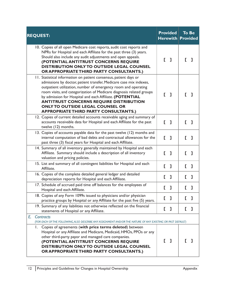| <b>REQUEST:</b>                                                                                                                                                                                                                                                                                                                                                                                                                                                                            |    | <b>Provided</b><br><b>Herewith</b> |     | <b>To Be</b><br><b>Provided</b> |  |
|--------------------------------------------------------------------------------------------------------------------------------------------------------------------------------------------------------------------------------------------------------------------------------------------------------------------------------------------------------------------------------------------------------------------------------------------------------------------------------------------|----|------------------------------------|-----|---------------------------------|--|
| 10. Copies of all open Medicare cost reports, audit cost reports and<br>NPRs for Hospital and each Affiliate for the past three (3) years.<br>Should also include any audit adjustments and open appeals.<br>(POTENTIAL ANTITRUST CONCERNS REQUIRE<br><b>DISTRIBUTION ONLY TO OUTSIDE LEGAL COUNSEL</b><br>OR APPROPRIATE THIRD PARTY CONSULTANTS.)                                                                                                                                        | E. | ı                                  | L   | ı                               |  |
| 11. Statistical information on patient consensus, patient days or<br>admissions by doctor, patient transfer, Medicare case mix indexes,<br>outpatient utilization, number of emergency room and operating<br>room visits, and categorization of Medicare diagnosis related groups<br>by admission for Hospital and each Affiliate. (POTENTIAL<br><b>ANTITRUST CONCERNS REQUIRE DISTRIBUTION</b><br><b>ONLY TO OUTSIDE LEGAL COUNSEL OR</b><br><b>APPROPRIATE THIRD PARTY CONSULTANTS.)</b> |    | $\begin{bmatrix} 1 \end{bmatrix}$  | r.  |                                 |  |
| 12. Copies of current detailed accounts receivable aging and summary of<br>accounts receivable data for Hospital and each Affiliate for the past<br>twelve (12) months.                                                                                                                                                                                                                                                                                                                    |    | [ ]                                | [ ] |                                 |  |
| 13. Copies of accounts payable data for the past twelve (12) months and<br>internal computation of bad debts and contractual allowances for the<br>past three (3) fiscal years for Hospital and each Affiliate.                                                                                                                                                                                                                                                                            | E. | $\mathbf{I}$                       | E.  | ı                               |  |
| 14. Summary of all inventory generally maintained by Hospital and each<br>Affiliate. Summary should include a description of all inventory<br>valuation and pricing policies.                                                                                                                                                                                                                                                                                                              | Г  | ı                                  |     | ı                               |  |
| 15. List and summary of all contingent liabilities for Hospital and each<br>Affiliate.                                                                                                                                                                                                                                                                                                                                                                                                     | E. | $\mathbf{I}$                       | E.  | $\mathbf{I}$                    |  |
| 16. Copies of the complete detailed general ledger and detailed<br>depreciation reports for Hospital and each Affiliate.                                                                                                                                                                                                                                                                                                                                                                   | D  | ı                                  | E.  | ı                               |  |
| 17. Schedule of accrued paid time off balances for the employees of<br>Hospital and each Affiliate.                                                                                                                                                                                                                                                                                                                                                                                        | E. | 1                                  |     | 1                               |  |
| 18. Copies of any Form 1099s issued to physicians and/or physician<br>practice groups by Hospital or any Affiliate for the past five (5) years.                                                                                                                                                                                                                                                                                                                                            |    | ı                                  |     | ı                               |  |
| 19. Summary of any liabilities not otherwise reflected on the financial<br>statements of Hospital or any Affiliate.                                                                                                                                                                                                                                                                                                                                                                        | E. | ı                                  | E   | ı                               |  |
| E.<br>Contracts                                                                                                                                                                                                                                                                                                                                                                                                                                                                            |    |                                    |     |                                 |  |
| (FOR EACH OF THE FOLLOWING, ALSO DESCRIBE ANY ASSIGNMENT AND/OR THE NATURE OF ANY EXISTING OR PAST DEFAULT)<br>Copies of agreements (with price terms deleted) between<br>Ι.                                                                                                                                                                                                                                                                                                               |    |                                    |     |                                 |  |
| Hospital or any Affiliate and Medicare, Medicaid, HMOs, PPOs or any<br>other third-party payor and managed care companies.<br>(POTENTIAL ANTITRUST CONCERNS REQUIRE<br><b>DISTRIBUTION ONLY TO OUTSIDE LEGAL COUNSEL</b><br>OR APPROPRIATE THIRD PARTY CONSULTANTS.)                                                                                                                                                                                                                       | E. | Л                                  |     | -1                              |  |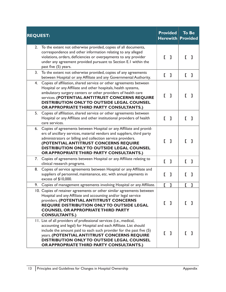|    | <b>REQUEST:</b>                                                                                                                                                                                                                                                                                                                                           |    | <b>Provided</b><br>$H$ erewith    |    | <b>To Be</b><br><b>Provided</b> |
|----|-----------------------------------------------------------------------------------------------------------------------------------------------------------------------------------------------------------------------------------------------------------------------------------------------------------------------------------------------------------|----|-----------------------------------|----|---------------------------------|
| 2. | To the extent not otherwise provided, copies of all documents,<br>correspondence and other information relating to any alleged<br>violations, orders, deficiencies or overpayments to any provider<br>under any agreement provided pursuant to Section E.I within the<br>past five (5) years.                                                             |    | $\begin{bmatrix} 1 \end{bmatrix}$ | E. | ı                               |
| 3. | To the extent not otherwise provided, copies of any agreements<br>between Hospital or any Affiliate and any Governmental Authority.                                                                                                                                                                                                                       | E. | ı                                 | L  | ı                               |
| 4. | Copies of affiliation, shared service or other agreements between<br>Hospital or any Affiliate and other hospitals, health systems,<br>ambulatory surgery centers or other providers of health care<br>services. (POTENTIAL ANTITRUST CONCERNS REQUIRE<br>DISTRIBUTION ONLY TO OUTSIDE LEGAL COUNSEL<br>OR APPROPRIATE THIRD PARTY CONSULTANTS.)          | L  | - 1                               | L  | I                               |
| 5. | Copies of affiliation, shared service or other agreements between<br>Hospital or any Affiliate and other institutional providers of health<br>care services.                                                                                                                                                                                              | Г. | -1                                | E. | J.                              |
| 6. | Copies of agreements between Hospital or any Affiliate and provid-<br>ers of ancillary services, material vendors and suppliers, third party<br>administrators or billing and collection service providers.<br>(POTENTIAL ANTITRUST CONCERNS REQUIRE<br>DISTRIBUTION ONLY TO OUTSIDE LEGAL COUNSEL<br>OR APPROPRIATE THIRD PARTY CONSULTANTS.)            |    | [ ]                               | Г. | П                               |
| 7. | Copies of agreements between Hospital or any Affiliate relating to<br>clinical research programs.                                                                                                                                                                                                                                                         | E. | ı                                 | E. | ı                               |
| 8. | Copies of service agreements between Hospital or any Affiliate and<br>suppliers of personnel, maintenance, etc. with annual payments in<br>excess of \$10,000.                                                                                                                                                                                            | L  | ı                                 | L  | ı                               |
| 9. | Copies of management agreements involving Hospital or any Affiliate.                                                                                                                                                                                                                                                                                      | E. | ı                                 | E. | L                               |
|    | 10. Copies of retainer agreements or other similar agreements between<br>Hospital and any Affiliate and accounting and/or legal service<br>providers. (POTENTIAL ANTITRUST CONCERNS<br>REQUIRE DISTRIBUTION ONLY TO OUTSIDE LEGAL<br><b>COUNSEL OR APPROPRIATE THIRD PARTY</b><br><b>CONSULTANTS.)</b>                                                    | Е  | - 1                               |    |                                 |
|    | 11. List of all providers of professional services (i.e., medical,<br>accounting and legal) for Hospital and each Affiliate. List should<br>include the amount paid to each such provider for the past five (5)<br>years. (POTENTIAL ANTITRUST CONCERNS REQUIRE<br>DISTRIBUTION ONLY TO OUTSIDE LEGAL COUNSEL<br>OR APPROPRIATE THIRD PARTY CONSULTANTS.) |    | -1                                |    |                                 |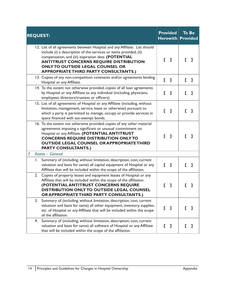| <b>REQUEST:</b>                                                                                                                                                                                                                                                                                                                                     |    | <b>Provided</b><br>$H$ erewith $ $ |    | <b>To Be</b><br><b>Provided</b> |
|-----------------------------------------------------------------------------------------------------------------------------------------------------------------------------------------------------------------------------------------------------------------------------------------------------------------------------------------------------|----|------------------------------------|----|---------------------------------|
| 12. List of all agreements between Hospital and any Affiliate. List should<br>include (i) a description of the services or items provided, (ii)<br>compensation, and (iii) expiration date. (POTENTIAL<br><b>ANTITRUST CONCERNS REQUIRE DISTRIBUTION</b><br><b>ONLY TO OUTSIDE LEGAL COUNSEL OR</b><br><b>APPROPRIATE THIRD PARTY CONSULTANTS.)</b> | L. | ı                                  | L  |                                 |
| 13. Copies of any non-competition covenants and/or agreements binding<br>Hospital or any Affiliate.                                                                                                                                                                                                                                                 | E. | 1                                  | E. | -1                              |
| 14. To the extent not otherwise provided, copies of all loan agreements<br>by Hospital or any Affiliate to any individual (including, physicians,<br>employees, directors/trustees or officers).                                                                                                                                                    | Г  | ı                                  | Г  | I                               |
| 15. List of all agreements of Hospital or any Affiliate (including, without<br>limitation, management, service, lease or otherwise) pursuant to<br>which a party is permitted to manage, occupy or provide services in<br>space financed with tax-exempt bonds.                                                                                     |    | ı                                  | Г. | ı                               |
| 16. To the extent not otherwise provided, copies of any other material<br>agreements imposing a significant or unusual commitment on<br>Hospital or any Affiliate. (POTENTIAL ANTITRUST<br><b>CONCERNS REQUIRE DISTRIBUTION ONLY TO</b><br><b>OUTSIDE LEGAL COUNSEL OR APPROPRIATE THIRD</b><br><b>PARTY CONSULTANTS.)</b>                          |    | [ ]                                |    |                                 |
| <b>Assets - General</b><br>E.                                                                                                                                                                                                                                                                                                                       |    |                                    |    |                                 |
| Summary of (including, without limitation, description, cost, current<br>I.<br>valuation and basis for same) all capital equipment of Hospital or any<br>Affiliate that will be included within the scope of the affiliation.                                                                                                                       | E. | ı                                  | г  | ı                               |
| 2.<br>Copies of property leases and equipment leases of Hospital or any<br>Affiliate that will be included within the scope of the affiliation.<br>(POTENTIAL ANTITRUST CONCERNS REQUIRE<br>DISTRIBUTION ONLY TO OUTSIDE LEGAL COUNSEL<br>OR APPROPRIATE THIRD PARTY CONSULTANTS.)                                                                  |    | 1                                  |    |                                 |
| Summary of (including, without limitation, description, cost, current<br>3.<br>valuation and basis for same) all other equipment, inventory, supplies,<br>etc. of Hospital or any Affiliate that will be included within the scope<br>of the affiliation.                                                                                           |    | [ ]                                | L  | L                               |
| Summary of (including, without limitation, description, cost, current<br>4.<br>valuation and basis for same) all software of Hospital or any Affiliate<br>that will be included within the scope of the affiliation.                                                                                                                                | E  | $\mathbf{I}$                       | I. | L                               |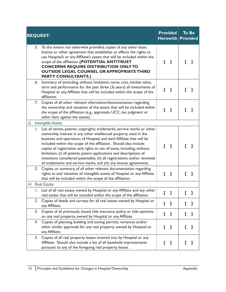|    | <b>REQUEST:</b>                                                                                                                                                                                                                                                                                                                                                                                                                                                                                                                                                                              | <b>Provided</b><br>$H$ erewith |              |    | <b>To Be</b><br><b>Provided</b> |
|----|----------------------------------------------------------------------------------------------------------------------------------------------------------------------------------------------------------------------------------------------------------------------------------------------------------------------------------------------------------------------------------------------------------------------------------------------------------------------------------------------------------------------------------------------------------------------------------------------|--------------------------------|--------------|----|---------------------------------|
|    | 5. To the extent not otherwise provided, copies of any other lease,<br>license or other agreement that establishes or effects the rights to<br>use Hospital's or any Affiliate's assets that will be included within the<br>scope of the affiliation. (POTENTIAL ANTITRUST<br><b>CONCERNS REQUIRE DISTRIBUTION ONLY TO</b><br><b>OUTSIDE LEGAL COUNSEL OR APPROPRIATE THIRD</b><br><b>PARTY CONSULTANTS.)</b>                                                                                                                                                                                | Г                              | $\mathbf{I}$ | L. | I                               |
| 6. | Summary of (including, without limitation, name, cost, market value,<br>term and performance for the past three (3) years) all investments of<br>Hospital or any Affiliate that will be included within the scope of the<br>affiliation.                                                                                                                                                                                                                                                                                                                                                     | E.                             | ı            |    |                                 |
| 7. | Copies of all other relevant information/documentation regarding<br>the ownership and valuation of the assets that will be included within<br>the scope of the affiliation (e.g., appraisals, UCC, tax judgment or<br>other liens against the assets).                                                                                                                                                                                                                                                                                                                                       | L                              | ı            |    | ı                               |
|    | G. Intangible Assets                                                                                                                                                                                                                                                                                                                                                                                                                                                                                                                                                                         |                                |              |    |                                 |
|    | 1. List of names, patents, copyrights, trademarks, service marks or other<br>ownership interest in any other intellectual property used in the<br>business and operations of Hospital and each Affiliate that will be<br>included within the scope of the affiliation. Should also include<br>copies of registration and rights to use of same, including, without<br>limitation, (i) all patents, patent applications and descriptions of<br>inventions considered patentable, (ii) all registrations and/or renewals<br>of trademarks and service marks, and (iii) any license agreements. | Г                              | - 1          | E. | ı                               |
| 2. | Copies, or summary, of all other relevant documentation regarding<br>rights to and valuation of intangible assets of Hospital or any Affiliate<br>that will be included within the scope of the affiliation.                                                                                                                                                                                                                                                                                                                                                                                 | E.                             | ı            | L  | ı                               |
|    | H. Real Estate                                                                                                                                                                                                                                                                                                                                                                                                                                                                                                                                                                               |                                |              |    |                                 |
|    | 1. List of all real estate owned by Hospital or any Affiliate and any other<br>real estate that will be included within the scope of the affiliation.                                                                                                                                                                                                                                                                                                                                                                                                                                        | D                              | $\mathbf l$  | E. | L                               |
| 2. | Copies of deeds and surveys for all real estate owned by Hospital or<br>any Affiliate.                                                                                                                                                                                                                                                                                                                                                                                                                                                                                                       | D.                             | ı            | D  | ı                               |
| 3. | Copies of all previously issued title insurance policy or title opinions<br>on any real property owned by Hospital or any Affiliate.                                                                                                                                                                                                                                                                                                                                                                                                                                                         | D.                             | ı            | E. | ı                               |
| 4. | Copies of planning, building and zoning permits, variances and/or<br>other similar approvals for any real property owned by Hospital or<br>any Affiliate.                                                                                                                                                                                                                                                                                                                                                                                                                                    | L                              | ı            | E  | ı                               |
| 5. | Copies of all real property leases entered into by Hospital or any<br>Affiliate. Should also include a list of all leasehold improvements<br>pursuant to any of the foregoing real property leases.                                                                                                                                                                                                                                                                                                                                                                                          | E.                             | L            | I. | ı                               |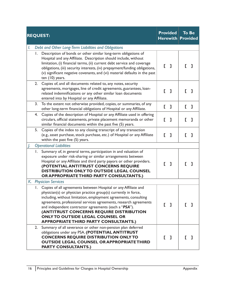|        |    | <b>REQUEST:</b>                                                                                                                                                                                                                                                                                                                                                                                                                                                               |    | <b>Provided</b><br><b>Herewith Provided</b> |   | To Be |
|--------|----|-------------------------------------------------------------------------------------------------------------------------------------------------------------------------------------------------------------------------------------------------------------------------------------------------------------------------------------------------------------------------------------------------------------------------------------------------------------------------------|----|---------------------------------------------|---|-------|
| I.     |    | Debt and Other Long-Term Liabilities and Obligations                                                                                                                                                                                                                                                                                                                                                                                                                          |    |                                             |   |       |
|        | Ι. | Description of bonds or other similar long-term obligations of<br>Hospital and any Affiliate. Description should include, without<br>limitation, (i) financial terms, (ii) current debt service and coverage<br>obligations, (iii) security interests, (iv) prepayment/funding obligations,<br>(v) significant negative covenants, and (vi) material defaults in the past<br>ten (10) years.                                                                                  | Г  | $\mathbf{I}$                                | г |       |
|        | 2. | Copies of, and all documents related to, any notes, security<br>agreements, mortgages, line of credit agreements, guarantees, loan-<br>related indemnifications or any other similar loan documents<br>entered into by Hospital or any Affiliate.                                                                                                                                                                                                                             | Г. | - 1                                         |   |       |
|        | 3. | To the extent not otherwise provided, copies, or summaries, of any<br>other long-term financial obligations of Hospital or any Affiliate.                                                                                                                                                                                                                                                                                                                                     | E. | ı                                           | L | 1     |
|        | 4. | Copies of the description of Hospital or any Affiliate used in offering<br>circulars, official statements, private placement memoranda or other<br>similar financial documents within the past five (5) years.                                                                                                                                                                                                                                                                | Г  | I                                           | Г | ı     |
|        | 5. | Copies of the index to any closing transcript of any transaction<br>(e.g., asset purchase, stock purchase, etc.) of Hospital or any Affiliate<br>within the past five (5) years.                                                                                                                                                                                                                                                                                              | Г  | $\mathbf{I}$                                | г |       |
| $\int$ |    | <b>Operational Liabilities</b>                                                                                                                                                                                                                                                                                                                                                                                                                                                |    |                                             |   |       |
|        | Ι. | Summary of, in general terms, participation in and valuation of<br>exposure under risk-sharing or similar arrangements between<br>Hospital or any Affiliate and third party payors or other providers.<br>(POTENTIAL ANTITRUST CONCERNS REQUIRE<br><b>DISTRIBUTION ONLY TO OUTSIDE LEGAL COUNSEL</b><br>OR APPROPRIATE THIRD PARTY CONSULTANTS.)                                                                                                                              |    | ı                                           |   |       |
|        |    | K. Physician Services                                                                                                                                                                                                                                                                                                                                                                                                                                                         |    |                                             |   |       |
|        |    | 1. Copies of all agreements between Hospital or any Affiliate and<br>physician(s) or physician practice group(s) currently in force,<br>including, without limitation, employment agreements, consulting<br>agreements, professional services agreements, research agreements<br>and independent contractor agreements (each a "PSA").<br>(ANTITRUST CONCERNS REQUIRE DISTRIBUTION<br><b>ONLY TO OUTSIDE LEGAL COUNSEL OR</b><br><b>APPROPRIATE THIRD PARTY CONSULTANTS.)</b> | г  | -1                                          | L |       |
|        | 2. | Summary of all severance or other non-pension plan deferred<br>obligations under any PSA. (POTENTIAL ANTITRUST<br><b>CONCERNS REQUIRE DISTRIBUTION ONLY TO</b><br><b>OUTSIDE LEGAL COUNSEL OR APPROPRIATE THIRD</b><br><b>PARTY CONSULTANTS.)</b>                                                                                                                                                                                                                             | Г. | П.                                          |   |       |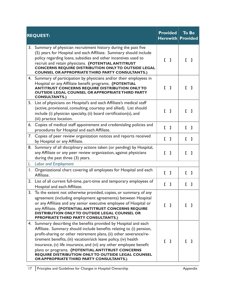|              | <b>REQUEST:</b>                                                                                                                                                                                                                                                                                                                                                                                                                                                                                               | <b>Provided</b><br><b>Herewith Provided</b> | <b>To Be</b>                      |
|--------------|---------------------------------------------------------------------------------------------------------------------------------------------------------------------------------------------------------------------------------------------------------------------------------------------------------------------------------------------------------------------------------------------------------------------------------------------------------------------------------------------------------------|---------------------------------------------|-----------------------------------|
| 3.           | Summary of physician recruitment history during the past five<br>(5) years for Hospital and each Affiliate. Summary should include<br>policy regarding loans, subsidies and other incentives used to<br>recruit and retain physicians. (POTENTIAL ANTITRUST<br><b>CONCERNS REQUIRE DISTRIBUTION ONLY TO OUTSIDE LEGAL</b><br><b>COUNSEL OR APPROPRIATE THIRD PARTY CONSULTANTS.)</b>                                                                                                                          | $\begin{bmatrix} 1 \end{bmatrix}$           | E.<br>ı                           |
| 4.           | Summary of participation by physicians and/or their employees in<br>Hospital or any Affiliate benefit programs. (POTENTIAL<br><b>ANTITRUST CONCERNS REQUIRE DISTRIBUTION ONLY TO</b><br><b>OUTSIDE LEGAL COUNSEL OR APPROPRIATE THIRD PARTY</b><br><b>CONSULTANTS.)</b>                                                                                                                                                                                                                                       | $\begin{bmatrix} 1 \end{bmatrix}$           | $\mathsf{F}$ 1                    |
| 5.           | List of physicians on Hospital's and each Affiliate's medical staff<br>(active, provisional, consulting, courtesy and allied). List should<br>include (i) physician specialty, (ii) board certification(s), and<br>(iii) practice location.                                                                                                                                                                                                                                                                   | $\mathbf{L}$ 1                              | r.<br>-1                          |
| 6.           | Copies of medical staff appointment and credentialing policies and<br>procedures for Hospital and each Affiliate.                                                                                                                                                                                                                                                                                                                                                                                             | $\begin{bmatrix} 1 \end{bmatrix}$           | $\begin{bmatrix} 1 \end{bmatrix}$ |
| 7.           | Copies of peer review organization notices and reports received<br>by Hospital or any Affiliate.                                                                                                                                                                                                                                                                                                                                                                                                              | $\begin{bmatrix} 1 \end{bmatrix}$           | E.<br>$\mathbf{I}$                |
| 8.           | Summary of all disciplinary actions taken (or pending) by Hospital,<br>any Affiliate or any peer review organization, against physicians<br>during the past three (3) years.                                                                                                                                                                                                                                                                                                                                  | L<br>$\mathbf{I}$                           | E.<br>L.                          |
|              | L. Labor and Employment                                                                                                                                                                                                                                                                                                                                                                                                                                                                                       |                                             |                                   |
| $\mathsf{L}$ | Organizational chart covering all employees for Hospital and each<br>Affiliate.                                                                                                                                                                                                                                                                                                                                                                                                                               | $\begin{bmatrix} 1 \end{bmatrix}$           | E.<br>$\mathbf{I}$                |
| 2.           | List of all current full-time, part-time and temporary employees of<br>Hospital and each Affiliate.                                                                                                                                                                                                                                                                                                                                                                                                           | $\begin{bmatrix} 1 \end{bmatrix}$           | E.<br>1                           |
| 3.           | To the extent not otherwise provided, copies, or summary, of any<br>agreement (including employment agreements) between Hospital<br>or any Affiliate and any senior executive employee of Hospital or<br>any Affiliate. (POTENTIAL ANTITRUST CONCERNS REQUIRE<br>DISTRIBUTION ONLY TO OUTSIDE LEGAL COUNSEL OR<br><b>PPROPRIATE THIRD PARTY CONSULTANTS.)</b>                                                                                                                                                 | [ ]                                         |                                   |
|              | 4. Summary describing the benefits provided by Hospital and each<br>Affiliate. Summary should include benefits relating to (i) pension,<br>profit-sharing or other retirement plans, (ii) other severance/re-<br>tirement benefits, (iii) vacation/sick leave policy, (iv) health<br>insurance, (v) life insurance, and (vi) any other employee benefit<br>plans or programs. (POTENTIAL ANTITRUST CONCERNS<br>REQUIRE DISTRIBUTION ONLY TO OUTSIDE LEGAL COUNSEL<br>OR APPROPRIATE THIRD PARTY CONSULTANTS.) | $\begin{bmatrix} 1 \end{bmatrix}$           |                                   |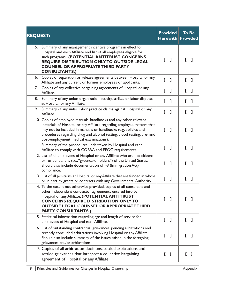| <b>REQUEST:</b>                                                                                                                                                                                                                                                                                                                  | <b>Provided</b><br><b>Herewith Provided</b> |     | <b>To Be</b> |   |
|----------------------------------------------------------------------------------------------------------------------------------------------------------------------------------------------------------------------------------------------------------------------------------------------------------------------------------|---------------------------------------------|-----|--------------|---|
| Summary of any management incentive programs in effect for<br>5.<br>Hospital and each Affiliate and list of all employees eligible for<br>such programs. (POTENTIAL ANTITRUST CONCERNS<br>REQUIRE DISTRIBUTION ONLY TO OUTSIDE LEGAL<br><b>COUNSEL OR APPROPRIATE THIRD PARTY</b><br><b>CONSULTANTS.)</b>                        | E.                                          | - 1 | L            | ı |
| Copies of separation or release agreements between Hospital or any<br>6.<br>Affiliate and any current or former employees or applicants.                                                                                                                                                                                         | E.                                          | ı   | E.           | ı |
| Copies of any collective bargaining agreements of Hospital or any<br>7.<br>Affiliate.                                                                                                                                                                                                                                            | Ľ                                           | ı   | E.           | ı |
| Summary of any union organization activity, strikes or labor disputes<br>8.<br>at Hospital or any Affiliate.                                                                                                                                                                                                                     | E.                                          | ı   | E.           | ı |
| 9.<br>Summary of any unfair labor practice claims against Hospital or any<br>Affiliate.                                                                                                                                                                                                                                          | D                                           | ı   | E.           | ı |
| 10. Copies of employee manuals, handbooks and any other relevant<br>materials of Hospital or any Affiliate regarding employee matters that<br>may not be included in manuals or handbooks (e.g. policies and<br>procedures regarding drug and alcohol testing, blood testing, pre- and<br>post-employment medical examinations). | E.                                          | ı   | L            | ı |
| 11. Summary of the procedures undertaken by Hospital and each<br>Affiliate to comply with COBRA and EEOC requirements.                                                                                                                                                                                                           | E.                                          | ı   | E.           | ı |
| 12. List of all employees of Hospital or any Affiliate who are not citizens<br>or resident aliens (i.e., "greencard holders") of the United States.<br>Should also include documentation of I-9 (Immigration Act)<br>compliance.                                                                                                 | E.                                          | ı   | r.           | ı |
| 13. List of all positions at Hospital or any Affiliate that are funded in whole<br>or in part by grants or contracts with any Governmental Authority.                                                                                                                                                                            | E.                                          | ı   | L            | ı |
| 14. To the extent not otherwise provided, copies of all consultant and<br>other independent contractor agreements entered into by<br>Hospital or any Affiliate. (POTENTIAL ANTITRUST<br><b>CONCERNS REQUIRE DISTRIBUTION ONLY TO</b><br><b>OUTSIDE LEGAL COUNSEL OR APPROPRIATE THIRD</b><br><b>PARTY CONSULTANTS.)</b>          | Г                                           | ı   | Г            | ı |
| 15. Statistical information regarding age and length of service for<br>employees of Hospital and each Affiliate.                                                                                                                                                                                                                 | E.                                          | ı   | L            | ı |
| 16. List of outstanding contractual grievances, pending arbitrations and<br>recently concluded arbitrations involving Hospital or any Affiliate.<br>Should also include summary of the issues raised in the foregoing<br>grievances and/or arbitrations.                                                                         | Г                                           | J.  | L.           | 1 |
| 17. Copies of all arbitration decisions, settled arbitrations and<br>settled grievances that interpret a collective bargaining<br>agreement of Hospital or any Affiliate.                                                                                                                                                        | L                                           | - 1 | L.           | Т |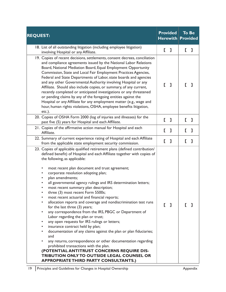| <b>REQUEST:</b>                                                                                                                                                                                                                                                                                                                                                                                                                                                                                                                                                                                                                                                                                                                                                                                                                                                                                                                                                                                                                                                                                                                                                     |    | <b>Provided</b><br><b>Herewith Provided</b> |              | <b>To Be</b> |  |
|---------------------------------------------------------------------------------------------------------------------------------------------------------------------------------------------------------------------------------------------------------------------------------------------------------------------------------------------------------------------------------------------------------------------------------------------------------------------------------------------------------------------------------------------------------------------------------------------------------------------------------------------------------------------------------------------------------------------------------------------------------------------------------------------------------------------------------------------------------------------------------------------------------------------------------------------------------------------------------------------------------------------------------------------------------------------------------------------------------------------------------------------------------------------|----|---------------------------------------------|--------------|--------------|--|
| 18. List of all outstanding litigation (including employee litigation)<br>involving Hospital or any Affiliate.                                                                                                                                                                                                                                                                                                                                                                                                                                                                                                                                                                                                                                                                                                                                                                                                                                                                                                                                                                                                                                                      | E. | $\mathbf{I}$                                | L            | ı            |  |
| 19. Copies of recent decisions, settlements, consent decrees, conciliation<br>and compliance agreements issued by the National Labor Relations<br>Board, National Mediation Board, Equal Employment Opportunity<br>Commission, State and Local Fair Employment Practices Agencies,<br>Federal and State Departments of Labor, state boards and agencies<br>and any other Governmental Authority involving Hospital or any<br>Affiliate. Should also include copies, or summary, of any current,<br>recently completed or anticipated investigations or any threatened<br>or pending claims by any of the foregoing entities against the<br>Hospital or any Affiliate for any employment matter (e.g., wage and<br>hour, human rights violations, OSHA, employee benefits litigation,<br>etc.).                                                                                                                                                                                                                                                                                                                                                                      | Г  | - 1                                         | Г            | ı            |  |
| 20. Copies of OSHA Form 2000 (log of injuries and illnesses) for the<br>past five (5) years for Hospital and each Affiliate.                                                                                                                                                                                                                                                                                                                                                                                                                                                                                                                                                                                                                                                                                                                                                                                                                                                                                                                                                                                                                                        |    | $\begin{bmatrix} 1 \end{bmatrix}$           | $\mathsf{L}$ | L.           |  |
| 21. Copies of the affirmative action manual for Hospital and each<br>Affiliate.                                                                                                                                                                                                                                                                                                                                                                                                                                                                                                                                                                                                                                                                                                                                                                                                                                                                                                                                                                                                                                                                                     | E. | ı                                           | L            | ı            |  |
| 22. Summary of current experience rating of Hospital and each Affiliate<br>from the applicable state employment security commission.                                                                                                                                                                                                                                                                                                                                                                                                                                                                                                                                                                                                                                                                                                                                                                                                                                                                                                                                                                                                                                | E. | L                                           | L            | ı            |  |
| 23. Copies of applicable qualified retirement plans (defined contribution/<br>defined benefit) of Hospital and each Affiliate together with copies of<br>the following, as applicable:<br>most recent plan document and trust agreement;<br>٠<br>corporate resolution adopting plan;<br>٠<br>plan amendments;<br>all governmental agency rulings and IRS determination letters;<br>most recent summary plan description;<br>three (3) most recent Form 5500s;<br>most recent actuarial and financial reports;<br>allocation reports and coverage and nondiscrimination test runs<br>for the last three (3) years;<br>any correspondence from the IRS, PBGC or Department of<br>٠<br>Labor regarding the plan or trust;<br>any open requests for IRS rulings or letters;<br>٠<br>insurance contract held by plan;<br>documentation of any claims against the plan or plan fiduciaries;<br>٠<br>and<br>any returns, correspondence or other documentation regarding<br>٠<br>prohibited transactions with the plan.<br>(POTENTIAL ANTITRUST CONCERNS REQUIRE DIS-<br><b>TRIBUTION ONLY TO OUTSIDE LEGAL COUNSEL OR</b><br><b>APPROPRIATE THIRD PARTY CONSULTANTS.)</b> |    | [ ]                                         |              | Т            |  |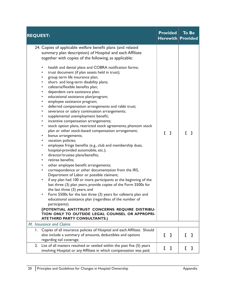| <b>REQUEST:</b>                                                                                                                                                                                                                                                                                                                                                                                                                                                                                                                                                                                                                                                                                                                                                                                                                                                                                                                                                                                                                                                                                                                                                                                                                                                                                                                                                                                                                                                                                                                                                                                                                                                                                                                                                          | <b>Provided</b><br><b>Herewith Provided</b> | <b>To Be</b> |
|--------------------------------------------------------------------------------------------------------------------------------------------------------------------------------------------------------------------------------------------------------------------------------------------------------------------------------------------------------------------------------------------------------------------------------------------------------------------------------------------------------------------------------------------------------------------------------------------------------------------------------------------------------------------------------------------------------------------------------------------------------------------------------------------------------------------------------------------------------------------------------------------------------------------------------------------------------------------------------------------------------------------------------------------------------------------------------------------------------------------------------------------------------------------------------------------------------------------------------------------------------------------------------------------------------------------------------------------------------------------------------------------------------------------------------------------------------------------------------------------------------------------------------------------------------------------------------------------------------------------------------------------------------------------------------------------------------------------------------------------------------------------------|---------------------------------------------|--------------|
| 24. Copies of applicable welfare benefit plans (and related<br>summary plan description) of Hospital and each Affiliate<br>together with copies of the following, as applicable:<br>health and dental plans and COBRA notification forms;<br>trust document (if plan assets held in trust);<br>group term life insurance plan;<br>short- and long-term disability plans;<br>cafeteria/flexible benefits plan;<br>dependent care assistance plan;<br>educational assistance plan/program;<br>٠<br>employee assistance program;<br>$\bullet$<br>deferred compensation arrangements and rabbi trust;<br>٠<br>severance or salary continuation arrangements;<br>$\bullet$<br>supplemental unemployment benefit;<br>٠<br>incentive compensation arrangements;<br>٠<br>stock option plans, restricted stock agreements, phantom stock<br>$\bullet$<br>plan or other stock-based compensation arrangement;<br>bonus arrangements;<br>vacation policies;<br>employee fringe benefits (e.g., club and membership dues,<br>hospital-provided automobile, etc.);<br>director/trustee plans/benefits;<br>٠<br>retiree benefits:<br>$\bullet$<br>other employee benefit arrangements;<br>٠<br>correspondence or other documentation from the IRS,<br>$\bullet$<br>Department of Labor or possible claimant;<br>if any plan had 100 or more participants at the beginning of the<br>٠<br>last three (3) plan years, provide copies of the Form 5500s for<br>the last three (3) years; and<br>Form 5500s for the last three (3) years for cafeteria plan and<br>educational assistance plan (regardless of the number of<br>participants).<br>(POTENTIAL ANTITRUST CONCERNS REQUIRE DISTRIBU-<br>TION ONLY TO OUTSIDE LEGAL COUNSEL OR APPROPRI-<br><b>ATETHIRD PARTY CONSULTANTS.)</b> | $\begin{bmatrix} 1 \end{bmatrix}$           | Г.<br>- 1    |
| M. Insurance and Claims                                                                                                                                                                                                                                                                                                                                                                                                                                                                                                                                                                                                                                                                                                                                                                                                                                                                                                                                                                                                                                                                                                                                                                                                                                                                                                                                                                                                                                                                                                                                                                                                                                                                                                                                                  |                                             |              |
| Copies of all insurance policies of Hospital and each Affiliate. Should<br>Ι.<br>also include a summary of amounts, deductibles and options<br>regarding tail coverage.                                                                                                                                                                                                                                                                                                                                                                                                                                                                                                                                                                                                                                                                                                                                                                                                                                                                                                                                                                                                                                                                                                                                                                                                                                                                                                                                                                                                                                                                                                                                                                                                  | [ ]                                         | L<br>L       |
| List of all matters resolved or settled within the past five (5) years<br>2.<br>involving Hospital or any Affiliate in which compensation was paid.                                                                                                                                                                                                                                                                                                                                                                                                                                                                                                                                                                                                                                                                                                                                                                                                                                                                                                                                                                                                                                                                                                                                                                                                                                                                                                                                                                                                                                                                                                                                                                                                                      | E.<br>L.                                    | L<br>ı       |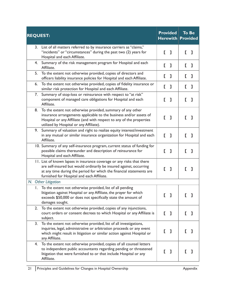| <b>REQUEST:</b> |                                                                                                                                                                                                                                                                     |    | <b>Provided</b><br>$H$ erewith $ $ |    | <b>To Be</b><br><b>Provided</b> |
|-----------------|---------------------------------------------------------------------------------------------------------------------------------------------------------------------------------------------------------------------------------------------------------------------|----|------------------------------------|----|---------------------------------|
|                 | 3. List of all matters referred to by insurance carriers as "claims,"<br>"incidents" or "circumstances" during the past two (2) years for<br>Hospital and each Affiliate.                                                                                           | E. | ı                                  | E. | ı                               |
| 4.              | Summary of the risk management program for Hospital and each<br>Affiliate.                                                                                                                                                                                          | E. | ı                                  | E. | ı                               |
| 5.              | To the extent not otherwise provided, copies of directors and<br>officers liability insurance policies for Hospital and each Affiliate.                                                                                                                             | E. | ı                                  | E. | ı                               |
| 6.              | To the extent not otherwise provided, copies of fidelity insurance or<br>similar risk protection for Hospital and each Affiliate.                                                                                                                                   | E. | ı                                  | E. | ı                               |
| 7.              | Summary of stop-loss or reinsurance with respect to "at risk"<br>component of managed care obligations for Hospital and each<br>Affiliate.                                                                                                                          | D  | ı                                  | Г  | I                               |
| 8.              | To the extent not otherwise provided, summary of any other<br>insurance arrangements applicable to the business and/or assets of<br>Hospital or any Affiliate (and with respect to any of the properties<br>utilized by Hospital or any Affiliate).                 | E. | -1                                 |    |                                 |
| 9.              | Summary of valuation and right to realize equity interest/investment<br>in any mutual or similar insurance organization for Hospital and each<br>Affiliate.                                                                                                         |    | $\mathbf{L}$ 1                     |    | I                               |
|                 | 10. Summary of any self-insurance program, current status of funding for<br>possible claims thereunder and description of reinsurance for<br>Hospital and each Affiliate.                                                                                           | Г  | -1                                 | E. | ı                               |
|                 | 11. List of known lapses in insurance coverage or any risks that there<br>are self-insured but would ordinarily be insured against, occurring<br>at any time during the period for which the financial statements are<br>furnished for Hospital and each Affiliate. | Г  | ı                                  | г  | ı                               |
|                 | N. Other Litigation                                                                                                                                                                                                                                                 |    |                                    |    |                                 |
| L.              | To the extent not otherwise provided, list of all pending<br>litigation against Hospital or any Affiliate, the prayer for which<br>exceeds \$50,000 or does not specifically state the amount of<br>damages sought.                                                 | E  | ı                                  |    |                                 |
| 2.              | To the extent not otherwise provided, copies of any injunctions,<br>court orders or consent decrees to which Hospital or any Affiliate is<br>subject.                                                                                                               | Г  | L                                  |    |                                 |
| 3.              | To the extent not otherwise provided, list of all investigations,<br>inquiries, legal, administrative or arbitration proceeds or any event<br>which might result in litigation or similar action against Hospital or<br>any Affiliate.                              | L  | ı                                  |    |                                 |
| 4.              | To the extent not otherwise provided, copies of all counsel letters<br>to independent public accountants regarding pending or threatened<br>litigation that were furnished to or that include Hospital or any<br>Affiliate.                                         | E. | ı                                  |    |                                 |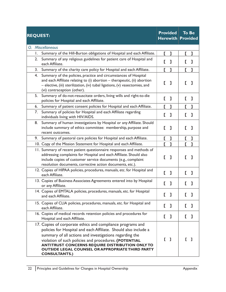|    | <b>REQUEST:</b>                                                                                                                                                                                                                                                                                                                                                                                |          | <b>Provided</b><br>$H$ erewith    |              | <b>To Be</b><br><b>Provided</b> |
|----|------------------------------------------------------------------------------------------------------------------------------------------------------------------------------------------------------------------------------------------------------------------------------------------------------------------------------------------------------------------------------------------------|----------|-----------------------------------|--------------|---------------------------------|
|    | O. Miscellaneous                                                                                                                                                                                                                                                                                                                                                                               |          |                                   |              |                                 |
| Ι. | Summary of the Hill-Burton obligations of Hospital and each Affiliate.                                                                                                                                                                                                                                                                                                                         | E.       | ı                                 | $\mathbf{I}$ | ı                               |
| 2. | Summary of any religious guidelines for patient care of Hospital and<br>each Affiliate.                                                                                                                                                                                                                                                                                                        | E.       | ı                                 | E.           | ı                               |
| 3. | Summary of the charity care policy for Hospital and each Affiliate.                                                                                                                                                                                                                                                                                                                            |          | [ ]                               |              | E 1                             |
| 4. | Summary of the policies, practice and circumstances of Hospital<br>and each Affiliate relating to (i) abortion - therapeutic, (ii) abortion<br>- elective, (iii) sterilization, (iv) tubal ligations, (v) vasectomies, and<br>(vi) contraception (other).                                                                                                                                      | L        | ı                                 | E.           | ı                               |
| 5. | Summary of do-not-resuscitate orders, living wills and right-to-die<br>policies for Hospital and each Affiliate.                                                                                                                                                                                                                                                                               | E.       | ı                                 | L            | ı                               |
| 6. | Summary of patient consent policies for Hospital and each Affiliate.                                                                                                                                                                                                                                                                                                                           | E.       | ı                                 | L            | ı                               |
| 7. | Summary of policies for Hospital and each Affiliate regarding<br>individuals living with HIV/AIDS.                                                                                                                                                                                                                                                                                             | D        | ı                                 | L            | ı                               |
| 8. | Summary of human investigations by Hospital or any Affiliate. Should<br>include summary of ethics committee: membership, purpose and<br>recent outcomes.                                                                                                                                                                                                                                       | D        | I                                 | L            | ı                               |
| 9. | Summary of pastoral care policies for Hospital and each Affiliate.                                                                                                                                                                                                                                                                                                                             | E.       | L                                 | E.           | L                               |
|    | 10. Copy of the Mission Statement for Hospital and each Affiliate.                                                                                                                                                                                                                                                                                                                             | D        | $\mathbf{I}$                      | E.           | ı                               |
|    | 11. Summary of recent patient questionnaire responses and methods of<br>addressing complaints for Hospital and each Affiliate. Should also<br>include copies of customer service documents (e.g., complaint<br>resolution documents, corrective action documents, etc.).                                                                                                                       | D        | 1                                 | L            | I                               |
|    | 12. Copies of HIPAA policies, procedures, manuals, etc. for Hospital and<br>each Affiliate.                                                                                                                                                                                                                                                                                                    | D        | J.                                | E.           | ı                               |
|    | 13. Copies of Business Associates Agreements entered into by Hospital<br>or any Affiliate.                                                                                                                                                                                                                                                                                                     | D        | ı                                 | L            | ı                               |
|    | 14. Copies of EMTALA policies, procedures, manuals, etc. for Hospital<br>and each Affiliate.                                                                                                                                                                                                                                                                                                   | $\Gamma$ | J                                 | I.           | L                               |
|    | 15. Copies of CLIA policies, procedures, manuals, etc. for Hospital and<br>each Affiliate.                                                                                                                                                                                                                                                                                                     | E.       | ı                                 | E.           | Л                               |
|    | 16. Copies of medical records retention policies and procedures for<br>Hospital and each Affiliate.                                                                                                                                                                                                                                                                                            | E,       | L                                 | L            | L                               |
|    | 17. Copies of corporate ethics and compliance programs and<br>policies for Hospital and each Affiliate. Should also include a<br>summary of all actions and investigations regarding the<br>violation of such policies and procedures. (POTENTIAL<br><b>ANTITRUST CONCERNS REQUIRE DISTRIBUTION ONLY TO</b><br><b>OUTSIDE LEGAL COUNSEL OR APPROPRIATE THIRD PARTY</b><br><b>CONSULTANTS.)</b> |          | $\begin{bmatrix} 1 \end{bmatrix}$ |              |                                 |